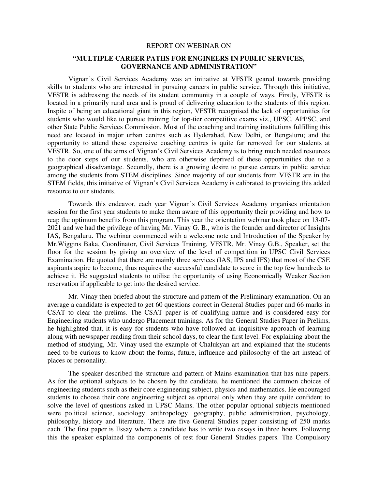## REPORT ON WEBINAR ON

## **"MULTIPLE CAREER PATHS FOR ENGINEERS IN PUBLIC SERVICES, GOVERNANCE AND ADMINISTRATION"**

Vignan's Civil Services Academy was an initiative at VFSTR geared towards providing skills to students who are interested in pursuing careers in public service. Through this initiative, VFSTR is addressing the needs of its student community in a couple of ways. Firstly, VFSTR is located in a primarily rural area and is proud of delivering education to the students of this region. Inspite of being an educational giant in this region, VFSTR recognised the lack of opportunities for students who would like to pursue training for top-tier competitive exams viz., UPSC, APPSC, and other State Public Services Commission. Most of the coaching and training institutions fulfilling this need are located in major urban centres such as Hyderabad, New Delhi, or Bengaluru; and the opportunity to attend these expensive coaching centres is quite far removed for our students at VFSTR. So, one of the aims of Vignan's Civil Services Academy is to bring much needed resources to the door steps of our students, who are otherwise deprived of these opportunities due to a geographical disadvantage. Secondly, there is a growing desire to pursue careers in public service among the students from STEM disciplines. Since majority of our students from VFSTR are in the STEM fields, this initiative of Vignan's Civil Services Academy is calibrated to providing this added resource to our students.

 Towards this endeavor, each year Vignan's Civil Services Academy organises orientation session for the first year students to make them aware of this opportunity their providing and how to reap the optimum benefits from this program. This year the orientation webinar took place on 13-07- 2021 and we had the privilege of having Mr. Vinay G. B., who is the founder and director of Insights IAS, Bengaluru. The webinar commenced with a welcome note and Introduction of the Speaker by Mr.Wiggins Baka, Coordinator, Civil Services Training, VFSTR. Mr. Vinay G.B., Speaker, set the floor for the session by giving an overview of the level of competition in UPSC Civil Services Examination. He quoted that there are mainly three services (IAS, IPS and IFS) that most of the CSE aspirants aspire to become, thus requires the successful candidate to score in the top few hundreds to achieve it. He suggested students to utilise the opportunity of using Economically Weaker Section reservation if applicable to get into the desired service.

Mr. Vinay then briefed about the structure and pattern of the Preliminary examination. On an average a candidate is expected to get 60 questions correct in General Studies paper and 66 marks in CSAT to clear the prelims. The CSAT paper is of qualifying nature and is considered easy for Engineering students who undergo Placement trainings. As for the General Studies Paper in Prelims, he highlighted that, it is easy for students who have followed an inquisitive approach of learning along with newspaper reading from their school days, to clear the first level. For explaining about the method of studying, Mr. Vinay used the example of Chalukyan art and explained that the students need to be curious to know about the forms, future, influence and philosophy of the art instead of places or personality.

The speaker described the structure and pattern of Mains examination that has nine papers. As for the optional subjects to be chosen by the candidate, he mentioned the common choices of engineering students such as their core engineering subject, physics and mathematics. He encouraged students to choose their core engineering subject as optional only when they are quite confident to solve the level of questions asked in UPSC Mains. The other popular optional subjects mentioned were political science, sociology, anthropology, geography, public administration, psychology, philosophy, history and literature. There are five General Studies paper consisting of 250 marks each. The first paper is Essay where a candidate has to write two essays in three hours. Following this the speaker explained the components of rest four General Studies papers. The Compulsory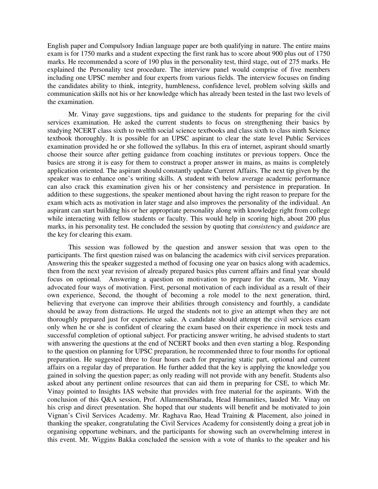English paper and Compulsory Indian language paper are both qualifying in nature. The entire mains exam is for 1750 marks and a student expecting the first rank has to score about 900 plus out of 1750 marks. He recommended a score of 190 plus in the personality test, third stage, out of 275 marks. He explained the Personality test procedure. The interview panel would comprise of five members including one UPSC member and four experts from various fields. The interview focuses on finding the candidates ability to think, integrity, humbleness, confidence level, problem solving skills and communication skills not his or her knowledge which has already been tested in the last two levels of the examination.

Mr. Vinay gave suggestions, tips and guidance to the students for preparing for the civil services examination. He asked the current students to focus on strengthening their basics by studying NCERT class sixth to twelfth social science textbooks and class sixth to class ninth Science textbook thoroughly. It is possible for an UPSC aspirant to clear the state level Public Services examination provided he or she followed the syllabus. In this era of internet, aspirant should smartly choose their source after getting guidance from coaching institutes or previous toppers. Once the basics are strong it is easy for them to construct a proper answer in mains, as mains is completely application oriented. The aspirant should constantly update Current Affairs. The next tip given by the speaker was to enhance one's writing skills. A student with below average academic performance can also crack this examination given his or her consistency and persistence in preparation. In addition to these suggestions, the speaker mentioned about having the right reason to prepare for the exam which acts as motivation in later stage and also improves the personality of the individual. An aspirant can start building his or her appropriate personality along with knowledge right from college while interacting with fellow students or faculty. This would help in scoring high, about 200 plus marks, in his personality test. He concluded the session by quoting that *consistency* and *guidance* are the key for clearing this exam.

This session was followed by the question and answer session that was open to the participants. The first question raised was on balancing the academics with civil services preparation. Answering this the speaker suggested a method of focusing one year on basics along with academics, then from the next year revision of already prepared basics plus current affairs and final year should focus on optional. Answering a question on motivation to prepare for the exam, Mr. Vinay advocated four ways of motivation. First, personal motivation of each individual as a result of their own experience, Second, the thought of becoming a role model to the next generation, third, believing that everyone can improve their abilities through consistency and fourthly, a candidate should be away from distractions. He urged the students not to give an attempt when they are not thoroughly prepared just for experience sake. A candidate should attempt the civil services exam only when he or she is confident of clearing the exam based on their experience in mock tests and successful completion of optional subject. For practicing answer writing, he advised students to start with answering the questions at the end of NCERT books and then even starting a blog. Responding to the question on planning for UPSC preparation, he recommended three to four months for optional preparation. He suggested three to four hours each for preparing static part, optional and current affairs on a regular day of preparation. He further added that the key is applying the knowledge you gained in solving the question paper; as only reading will not provide with any benefit. Students also asked about any pertinent online resources that can aid them in preparing for CSE, to which Mr. Vinay pointed to Insights IAS website that provides with free material for the aspirants. With the conclusion of this Q&A session, Prof. AllamneniSharada, Head Humanities, lauded Mr. Vinay on his crisp and direct presentation. She hoped that our students will benefit and be motivated to join Vignan's Civil Services Academy. Mr. Raghava Rao, Head Training & Placement, also joined in thanking the speaker, congratulating the Civil Services Academy for consistently doing a great job in organising opportune webinars, and the participants for showing such an overwhelming interest in this event. Mr. Wiggins Bakka concluded the session with a vote of thanks to the speaker and his